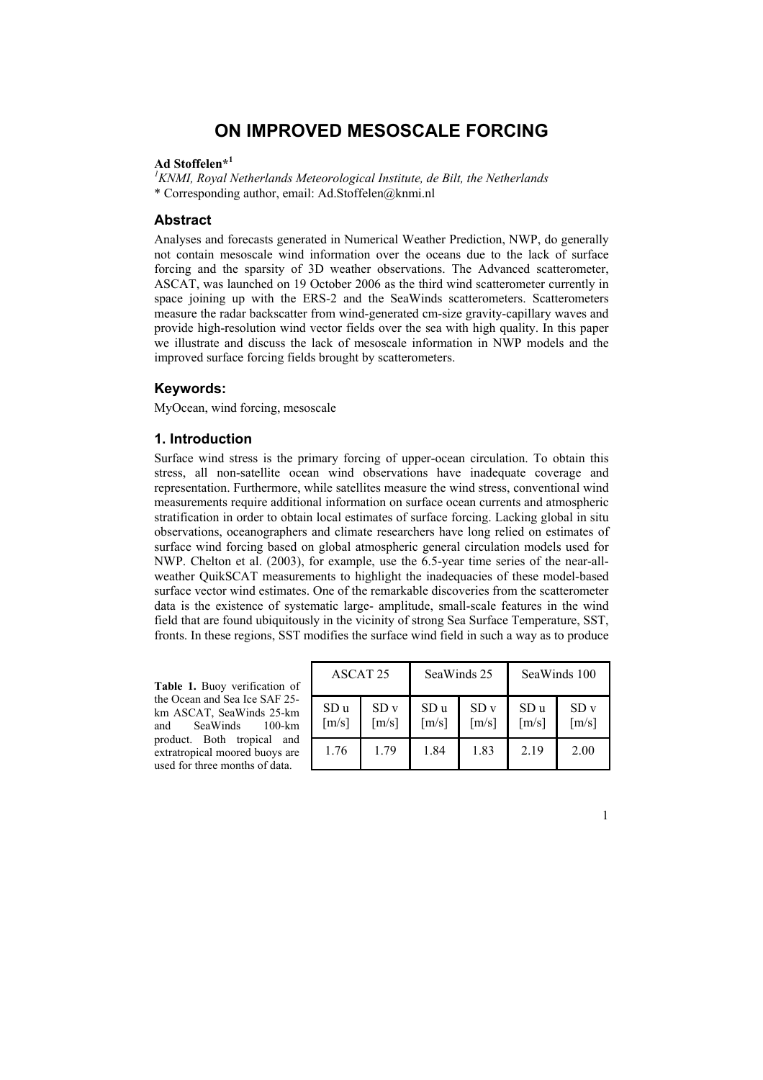# **ON IMPROVED MESOSCALE FORCING**

## **Ad Stoffelen\*<sup>1</sup>**

<sup>1</sup> KNMI, Royal Netherlands Meteorological Institute, de Bilt, the Netherlands \* Corresponding author, email: Ad.Stoffelen@knmi.nl

#### **Abstract**

Analyses and forecasts generated in Numerical Weather Prediction, NWP, do generally not contain mesoscale wind information over the oceans due to the lack of surface forcing and the sparsity of 3D weather observations. The Advanced scatterometer, ASCAT, was launched on 19 October 2006 as the third wind scatterometer currently in space joining up with the ERS-2 and the SeaWinds scatterometers. Scatterometers measure the radar backscatter from wind-generated cm-size gravity-capillary waves and provide high-resolution wind vector fields over the sea with high quality. In this paper we illustrate and discuss the lack of mesoscale information in NWP models and the improved surface forcing fields brought by scatterometers.

## **Keywords:**

MyOcean, wind forcing, mesoscale

### **1. Introduction**

Surface wind stress is the primary forcing of upper-ocean circulation. To obtain this stress, all non-satellite ocean wind observations have inadequate coverage and representation. Furthermore, while satellites measure the wind stress, conventional wind measurements require additional information on surface ocean currents and atmospheric stratification in order to obtain local estimates of surface forcing. Lacking global in situ observations, oceanographers and climate researchers have long relied on estimates of surface wind forcing based on global atmospheric general circulation models used for NWP. Chelton et al. (2003), for example, use the 6.5-year time series of the near-allweather QuikSCAT measurements to highlight the inadequacies of these model-based surface vector wind estimates. One of the remarkable discoveries from the scatterometer data is the existence of systematic large- amplitude, small-scale features in the wind field that are found ubiquitously in the vicinity of strong Sea Surface Temperature, SST, fronts. In these regions, SST modifies the surface wind field in such a way as to produce

**Table 1.** Buoy verification of the Ocean and Sea Ice SAF 25 km ASCAT, SeaWinds 25-km and SeaWinds 100-km product. Both tropical and extratropical moored buoys are used for three months of data.

| ASCAT <sub>25</sub>         |                                        | SeaWinds 25                            |                                        | SeaWinds 100                           |                                        |
|-----------------------------|----------------------------------------|----------------------------------------|----------------------------------------|----------------------------------------|----------------------------------------|
| SD u<br>$\lceil m/s \rceil$ | SD <sub>v</sub><br>$\lceil m/s \rceil$ | SD <sub>u</sub><br>$\lceil m/s \rceil$ | SD <sub>v</sub><br>$\lceil m/s \rceil$ | SD <sub>u</sub><br>$\lceil m/s \rceil$ | SD <sub>v</sub><br>$\lceil m/s \rceil$ |
| 1.76                        | 179                                    | 1.84                                   | 1.83                                   | 2.19                                   | 2.00                                   |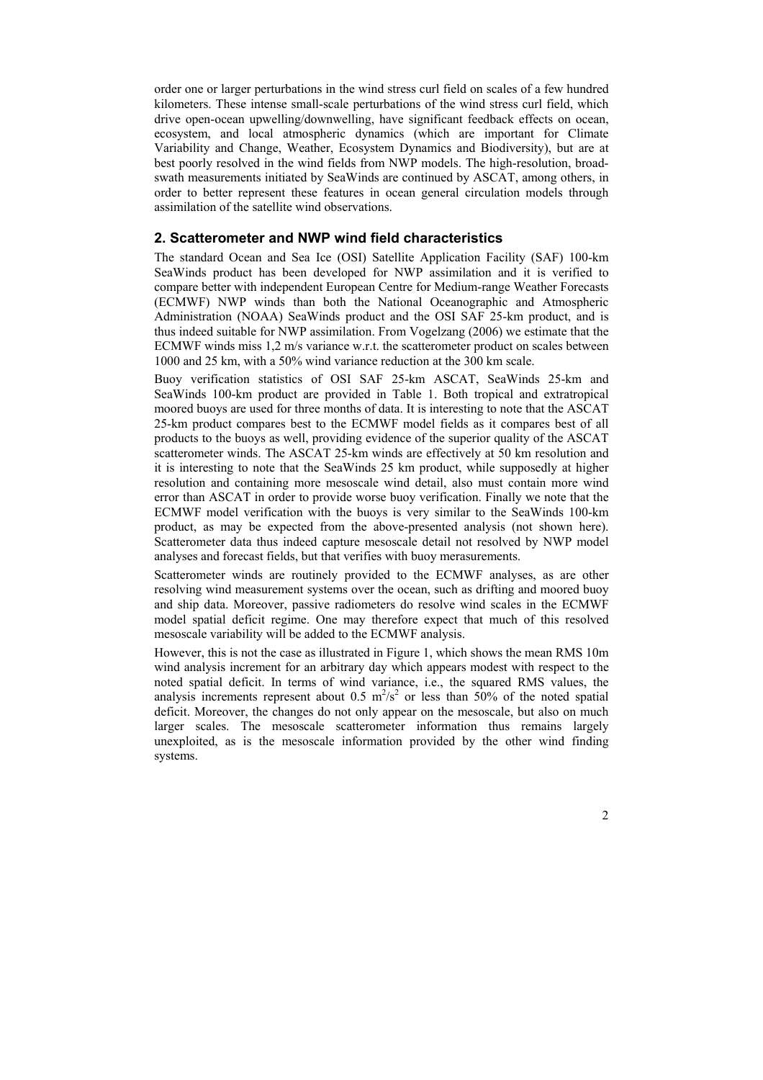order one or larger perturbations in the wind stress curl field on scales of a few hundred kilometers. These intense small-scale perturbations of the wind stress curl field, which drive open-ocean upwelling/downwelling, have significant feedback effects on ocean, ecosystem, and local atmospheric dynamics (which are important for Climate Variability and Change, Weather, Ecosystem Dynamics and Biodiversity), but are at best poorly resolved in the wind fields from NWP models. The high-resolution, broadswath measurements initiated by SeaWinds are continued by ASCAT, among others, in order to better represent these features in ocean general circulation models through assimilation of the satellite wind observations.

## **2. Scatterometer and NWP wind field characteristics**

The standard Ocean and Sea Ice (OSI) Satellite Application Facility (SAF) 100-km SeaWinds product has been developed for NWP assimilation and it is verified to compare better with independent European Centre for Medium-range Weather Forecasts (ECMWF) NWP winds than both the National Oceanographic and Atmospheric Administration (NOAA) SeaWinds product and the OSI SAF 25-km product, and is thus indeed suitable for NWP assimilation. From Vogelzang (2006) we estimate that the ECMWF winds miss 1,2 m/s variance w.r.t. the scatterometer product on scales between 1000 and 25 km, with a 50% wind variance reduction at the 300 km scale.

Buoy verification statistics of OSI SAF 25-km ASCAT, SeaWinds 25-km and SeaWinds 100-km product are provided in Table 1. Both tropical and extratropical moored buoys are used for three months of data. It is interesting to note that the ASCAT 25-km product compares best to the ECMWF model fields as it compares best of all products to the buoys as well, providing evidence of the superior quality of the ASCAT scatterometer winds. The ASCAT 25-km winds are effectively at 50 km resolution and it is interesting to note that the SeaWinds 25 km product, while supposedly at higher resolution and containing more mesoscale wind detail, also must contain more wind error than ASCAT in order to provide worse buoy verification. Finally we note that the ECMWF model verification with the buoys is very similar to the SeaWinds 100-km product, as may be expected from the above-presented analysis (not shown here). Scatterometer data thus indeed capture mesoscale detail not resolved by NWP model analyses and forecast fields, but that verifies with buoy merasurements.

Scatterometer winds are routinely provided to the ECMWF analyses, as are other resolving wind measurement systems over the ocean, such as drifting and moored buoy and ship data. Moreover, passive radiometers do resolve wind scales in the ECMWF model spatial deficit regime. One may therefore expect that much of this resolved mesoscale variability will be added to the ECMWF analysis.

However, this is not the case as illustrated in Figure 1, which shows the mean RMS 10m wind analysis increment for an arbitrary day which appears modest with respect to the noted spatial deficit. In terms of wind variance, i.e., the squared RMS values, the analysis increments represent about 0.5  $m^2/s^2$  or less than 50% of the noted spatial deficit. Moreover, the changes do not only appear on the mesoscale, but also on much larger scales. The mesoscale scatterometer information thus remains largely unexploited, as is the mesoscale information provided by the other wind finding systems.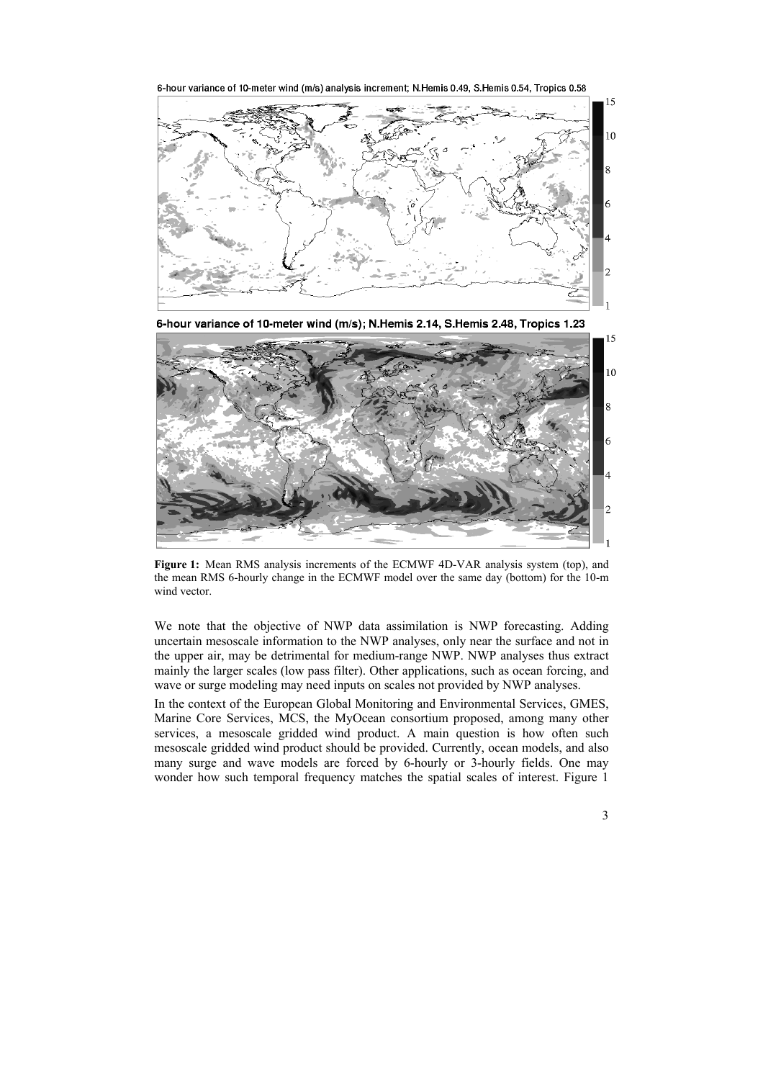6-hour variance of 10-meter wind (m/s) analysis increment; N.Hemis 0.49, S.Hemis 0.54, Tropics 0.58



6-hour variance of 10-meter wind (m/s); N.Hemis 2.14, S.Hemis 2.48, Tropics 1.23



**Figure 1:** Mean RMS analysis increments of the ECMWF 4D-VAR analysis system (top), and the mean RMS 6-hourly change in the ECMWF model over the same day (bottom) for the 10-m wind vector.

We note that the objective of NWP data assimilation is NWP forecasting. Adding uncertain mesoscale information to the NWP analyses, only near the surface and not in the upper air, may be detrimental for medium-range NWP. NWP analyses thus extract mainly the larger scales (low pass filter). Other applications, such as ocean forcing, and wave or surge modeling may need inputs on scales not provided by NWP analyses.

In the context of the European Global Monitoring and Environmental Services, GMES, Marine Core Services, MCS, the MyOcean consortium proposed, among many other services, a mesoscale gridded wind product. A main question is how often such mesoscale gridded wind product should be provided. Currently, ocean models, and also many surge and wave models are forced by 6-hourly or 3-hourly fields. One may wonder how such temporal frequency matches the spatial scales of interest. Figure 1